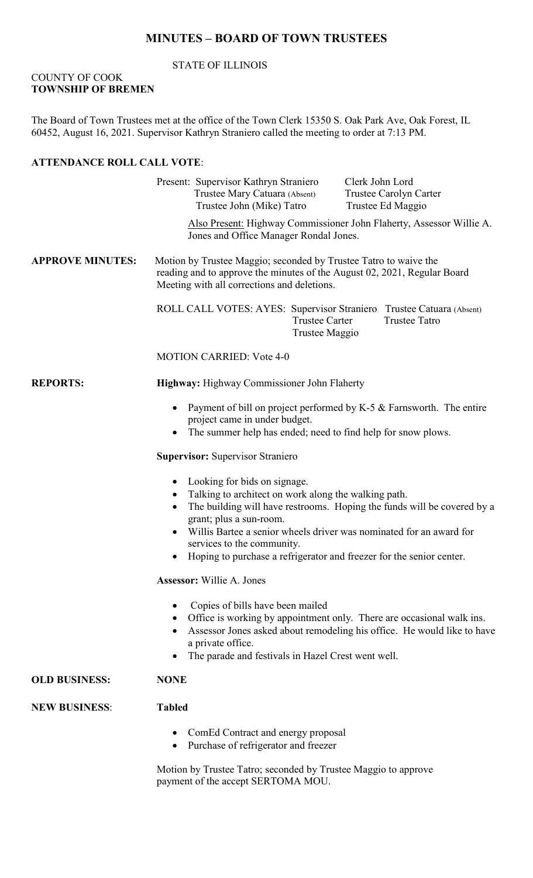# **MINUTES – BOARD OF TOWN TRUSTEES**

### STATE OF ILLINOIS

#### COUNTY OF COOK **TOWNSHIP OF BREMEN**

The Board of Town Trustees met at the office of the Town Clerk 15350 S. Oak Park Ave, Oak Forest, IL 60452, August 16, 2021. Supervisor Kathryn Straniero called the meeting to order at 7:13 PM.

### **ATTENDANCE ROLL CALL VOTE**:

|                         | Clerk John Lord<br>Present: Supervisor Kathryn Straniero<br>Trustee Mary Catuara (Absent)<br>Trustee Carolyn Carter<br>Trustee John (Mike) Tatro<br>Trustee Ed Maggio                                                                                                                                                                                                                |  |  |  |
|-------------------------|--------------------------------------------------------------------------------------------------------------------------------------------------------------------------------------------------------------------------------------------------------------------------------------------------------------------------------------------------------------------------------------|--|--|--|
|                         | Also Present: Highway Commissioner John Flaherty, Assessor Willie A.<br>Jones and Office Manager Rondal Jones.                                                                                                                                                                                                                                                                       |  |  |  |
| <b>APPROVE MINUTES:</b> | Motion by Trustee Maggio; seconded by Trustee Tatro to waive the<br>reading and to approve the minutes of the August 02, 2021, Regular Board<br>Meeting with all corrections and deletions.                                                                                                                                                                                          |  |  |  |
|                         | ROLL CALL VOTES: AYES: Supervisor Straniero Trustee Catuara (Absent)<br><b>Trustee Tatro</b><br><b>Trustee Carter</b><br>Trustee Maggio                                                                                                                                                                                                                                              |  |  |  |
|                         | <b>MOTION CARRIED: Vote 4-0</b>                                                                                                                                                                                                                                                                                                                                                      |  |  |  |
| <b>REPORTS:</b>         | Highway: Highway Commissioner John Flaherty                                                                                                                                                                                                                                                                                                                                          |  |  |  |
|                         | Payment of bill on project performed by K-5 & Farnsworth. The entire<br>project came in under budget.<br>The summer help has ended; need to find help for snow plows.                                                                                                                                                                                                                |  |  |  |
|                         | <b>Supervisor: Supervisor Straniero</b>                                                                                                                                                                                                                                                                                                                                              |  |  |  |
|                         | Looking for bids on signage.<br>$\bullet$<br>Talking to architect on work along the walking path.<br>The building will have restrooms. Hoping the funds will be covered by a<br>grant; plus a sun-room.<br>Willis Bartee a senior wheels driver was nominated for an award for<br>services to the community.<br>Hoping to purchase a refrigerator and freezer for the senior center. |  |  |  |
|                         | <b>Assessor:</b> Willie A. Jones                                                                                                                                                                                                                                                                                                                                                     |  |  |  |
|                         | Copies of bills have been mailed<br>Office is working by appointment only. There are occasional walk ins.<br>Assessor Jones asked about remodeling his office. He would like to have<br>a private office.<br>The parade and festivals in Hazel Crest went well.                                                                                                                      |  |  |  |
| <b>OLD BUSINESS:</b>    | <b>NONE</b>                                                                                                                                                                                                                                                                                                                                                                          |  |  |  |
| <b>NEW BUSINESS:</b>    | <b>Tabled</b>                                                                                                                                                                                                                                                                                                                                                                        |  |  |  |
|                         | ComEd Contract and energy proposal<br>Purchase of refrigerator and freezer<br>$\bullet$                                                                                                                                                                                                                                                                                              |  |  |  |
|                         | Motion by Trustee Tatro; seconded by Trustee Maggio to approve<br>payment of the accept SERTOMA MOU.                                                                                                                                                                                                                                                                                 |  |  |  |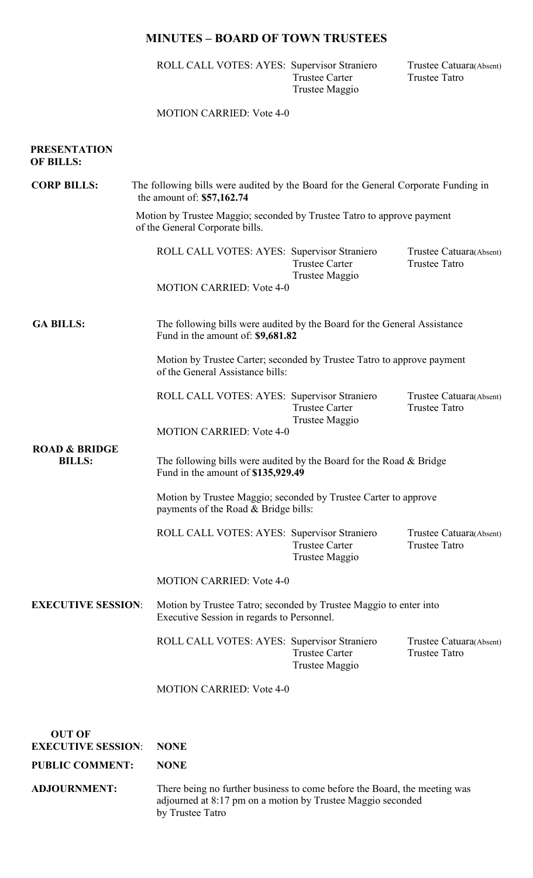## **MINUTES – BOARD OF TOWN TRUSTEES**

ROLL CALL VOTES: AYES: Supervisor Straniero Trustee Catuara(Absent)<br>Trustee Carter Trustee Tatro Trustee Carter Trustee Tatro Trustee Maggio

### MOTION CARRIED: Vote 4-0

| <b>CORP BILLS:</b>                                  | The following bills were audited by the Board for the General Corporate Funding in<br>the amount of: $$57,162.74$<br>Motion by Trustee Maggio; seconded by Trustee Tatro to approve payment<br>of the General Corporate bills. |                                                                           |                                                 |  |
|-----------------------------------------------------|--------------------------------------------------------------------------------------------------------------------------------------------------------------------------------------------------------------------------------|---------------------------------------------------------------------------|-------------------------------------------------|--|
|                                                     |                                                                                                                                                                                                                                |                                                                           |                                                 |  |
|                                                     | ROLL CALL VOTES: AYES: Supervisor Straniero                                                                                                                                                                                    | <b>Trustee Carter</b><br>Trustee Maggio                                   | Trustee Catuara(Absent)<br><b>Trustee Tatro</b> |  |
|                                                     | <b>MOTION CARRIED: Vote 4-0</b>                                                                                                                                                                                                |                                                                           |                                                 |  |
| <b>GA BILLS:</b>                                    | The following bills were audited by the Board for the General Assistance<br>Fund in the amount of: \$9,681.82                                                                                                                  |                                                                           |                                                 |  |
|                                                     | Motion by Trustee Carter; seconded by Trustee Tatro to approve payment<br>of the General Assistance bills:                                                                                                                     |                                                                           |                                                 |  |
|                                                     | ROLL CALL VOTES: AYES: Supervisor Straniero                                                                                                                                                                                    | <b>Trustee Carter</b><br>Trustee Maggio                                   | Trustee Catuara(Absent)<br><b>Trustee Tatro</b> |  |
|                                                     | <b>MOTION CARRIED: Vote 4-0</b>                                                                                                                                                                                                |                                                                           |                                                 |  |
| <b>ROAD &amp; BRIDGE</b><br><b>BILLS:</b>           | The following bills were audited by the Board for the Road & Bridge<br>Fund in the amount of \$135,929.49                                                                                                                      |                                                                           |                                                 |  |
|                                                     | Motion by Trustee Maggio; seconded by Trustee Carter to approve<br>payments of the Road & Bridge bills:                                                                                                                        |                                                                           |                                                 |  |
|                                                     | ROLL CALL VOTES: AYES: Supervisor Straniero                                                                                                                                                                                    | <b>Trustee Carter</b><br>Trustee Maggio                                   | Trustee Catuara(Absent)<br><b>Trustee Tatro</b> |  |
|                                                     | <b>MOTION CARRIED: Vote 4-0</b>                                                                                                                                                                                                |                                                                           |                                                 |  |
| <b>EXECUTIVE SESSION:</b>                           | Motion by Trustee Tatro; seconded by Trustee Maggio to enter into<br>Executive Session in regards to Personnel.                                                                                                                |                                                                           |                                                 |  |
|                                                     | ROLL CALL VOTES: AYES: Supervisor Straniero                                                                                                                                                                                    | <b>Trustee Carter</b><br>Trustee Maggio                                   | Trustee Catuara(Absent)<br><b>Trustee Tatro</b> |  |
|                                                     | <b>MOTION CARRIED: Vote 4-0</b>                                                                                                                                                                                                |                                                                           |                                                 |  |
| <b>OUT OF</b>                                       |                                                                                                                                                                                                                                |                                                                           |                                                 |  |
| <b>EXECUTIVE SESSION:</b><br><b>PUBLIC COMMENT:</b> | <b>NONE</b><br><b>NONE</b>                                                                                                                                                                                                     |                                                                           |                                                 |  |
| <b>ADJOURNMENT:</b>                                 |                                                                                                                                                                                                                                | There being no further business to come before the Board, the meeting was |                                                 |  |
|                                                     | adjourned at 8:17 pm on a motion by Trustee Maggio seconded<br>by Trustee Tatro                                                                                                                                                |                                                                           |                                                 |  |